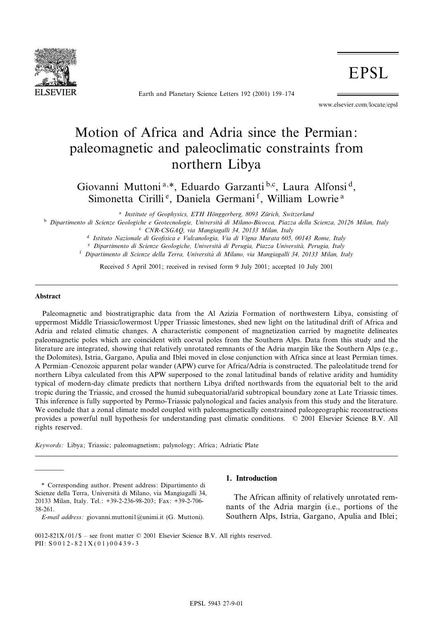

Earth and Planetary Science Letters 192 (2001) 159-174

**EPSL** 

www.elsevier.com/locate/epsl

# Motion of Africa and Adria since the Permian: paleomagnetic and paleoclimatic constraints from northern Libya

Giovanni Muttoni<sup>a,\*</sup>, Eduardo Garzanti<sup>b,c</sup>, Laura Alfonsi<sup>d</sup>, Simonetta Cirilli<sup>e</sup>, Daniela Germani<sup>f</sup>, William Lowrie<sup>a</sup>

<sup>a</sup> Institute of Geophysics, ETH Hönggerberg, 8093 Zürich, Switzerland

<sup>b</sup> Dipartimento di Scienze Geologiche e Geotecnologie, Università di Milano-Bicocca, Piazza della Scienza, 20126 Milan, Italy

<sup>c</sup> CNR-CSGAQ, via Mangiagalli 34, 20133 Milan, Italy

<sup>d</sup> Istituto Nazionale di Geo¢sica e Vulcanologia, Via di Vigna Murata 605, 00143 Rome, Italy

e Dipartimento di Scienze Geologiche, Università di Perugia, Piazza Università, Perugia, Italy

f Dipartimento di Scienze della Terra, Università di Milano, via Mangiagalli 34, 20133 Milan, Italy

Received 5 April 2001; received in revised form 9 July 2001; accepted 10 July 2001

#### Abstract

Paleomagnetic and biostratigraphic data from the Al Azizia Formation of northwestern Libya, consisting of uppermost Middle Triassic/lowermost Upper Triassic limestones, shed new light on the latitudinal drift of Africa and Adria and related climatic changes. A characteristic component of magnetization carried by magnetite delineates paleomagnetic poles which are coincident with coeval poles from the Southern Alps. Data from this study and the literature are integrated, showing that relatively unrotated remnants of the Adria margin like the Southern Alps (e.g., the Dolomites), Istria, Gargano, Apulia and Iblei moved in close conjunction with Africa since at least Permian times. A Permian–Cenozoic apparent polar wander (APW) curve for Africa/Adria is constructed. The paleolatitude trend for northern Libya calculated from this APW superposed to the zonal latitudinal bands of relative aridity and humidity typical of modern-day climate predicts that northern Libya drifted northwards from the equatorial belt to the arid tropic during the Triassic, and crossed the humid subequatorial/arid subtropical boundary zone at Late Triassic times. This inference is fully supported by Permo-Triassic palynological and facies analysis from this study and the literature. We conclude that a zonal climate model coupled with paleomagnetically constrained paleogeographic reconstructions provides a powerful null hypothesis for understanding past climatic conditions. ß 2001 Elsevier Science B.V. All rights reserved.

Keywords: Libya; Triassic; paleomagnetism; palynology; Africa; Adriatic Plate

\* Corresponding author. Present address: Dipartimento di Scienze della Terra, Università di Milano, via Mangiagalli 34, 20133 Milan, Italy. Tel.: +39-2-236-98-203; Fax: +39-2-706- 38-261.

E-mail address: giovanni.muttoni1@unimi.it (G. Muttoni).

## 1. Introduction

The African affinity of relatively unrotated remnants of the Adria margin (i.e., portions of the Southern Alps, Istria, Gargano, Apulia and Iblei;

<sup>0012-821</sup>X/01/\$ – see front matter  $\odot$  2001 Elsevier Science B.V. All rights reserved. PII: S 0 0 1 2 - 8 2 1 X ( 0 1 ) 0 0 4 3 9 - 3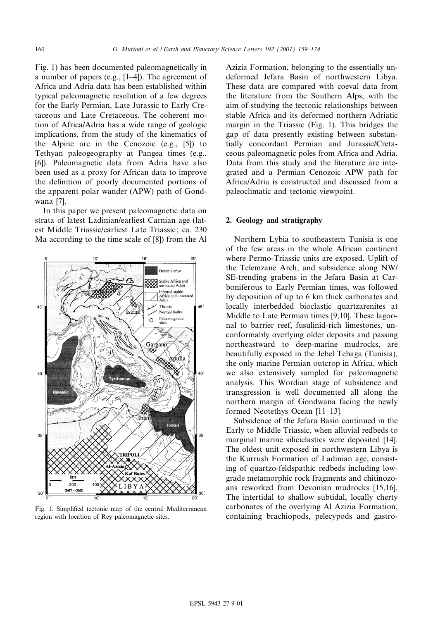Fig. 1) has been documented paleomagnetically in a number of papers (e.g.,  $[1-4]$ ). The agreement of Africa and Adria data has been established within typical paleomagnetic resolution of a few degrees for the Early Permian, Late Jurassic to Early Cretaceous and Late Cretaceous. The coherent motion of Africa/Adria has a wide range of geologic implications, from the study of the kinematics of the Alpine arc in the Cenozoic (e.g., [5]) to Tethyan paleogeography at Pangea times (e.g., [6]). Paleomagnetic data from Adria have also been used as a proxy for African data to improve the definition of poorly documented portions of the apparent polar wander (APW) path of Gondwana [7].

In this paper we present paleomagnetic data on strata of latest Ladinian/earliest Carnian age (latest Middle Triassic/earliest Late Triassic; ca. 230 Ma according to the time scale of [8]) from the Al



Fig. 1. Simplified tectonic map of the central Mediterranean region with location of Rey paleomagnetic sites.

Azizia Formation, belonging to the essentially undeformed Jefara Basin of northwestern Libya. These data are compared with coeval data from the literature from the Southern Alps, with the aim of studying the tectonic relationships between stable Africa and its deformed northern Adriatic margin in the Triassic (Fig. 1). This bridges the gap of data presently existing between substantially concordant Permian and Jurassic/Cretaceous paleomagnetic poles from Africa and Adria. Data from this study and the literature are integrated and a Permian^Cenozoic APW path for Africa/Adria is constructed and discussed from a paleoclimatic and tectonic viewpoint.

#### 2. Geology and stratigraphy

Northern Lybia to southeastern Tunisia is one of the few areas in the whole African continent where Permo-Triassic units are exposed. Uplift of the Telemzane Arch, and subsidence along NW/ SE-trending grabens in the Jefara Basin at Carboniferous to Early Permian times, was followed by deposition of up to 6 km thick carbonates and locally interbedded bioclastic quartzarenites at Middle to Late Permian times [9,10]. These lagoonal to barrier reef, fusulinid-rich limestones, unconformably overlying older deposits and passing northeastward to deep-marine mudrocks, are beautifully exposed in the Jebel Tebaga (Tunisia), the only marine Permian outcrop in Africa, which we also extensively sampled for paleomagnetic analysis. This Wordian stage of subsidence and transgression is well documented all along the northern margin of Gondwana facing the newly formed Neotethys Ocean [11^13].

Subsidence of the Jefara Basin continued in the Early to Middle Triassic, when alluvial redbeds to marginal marine siliciclastics were deposited [14]. The oldest unit exposed in northwestern Libya is the Kurrush Formation of Ladinian age, consisting of quartzo-feldspathic redbeds including lowgrade metamorphic rock fragments and chitinozoans reworked from Devonian mudrocks [15,16]. The intertidal to shallow subtidal, locally cherty carbonates of the overlying Al Azizia Formation, containing brachiopods, pelecypods and gastro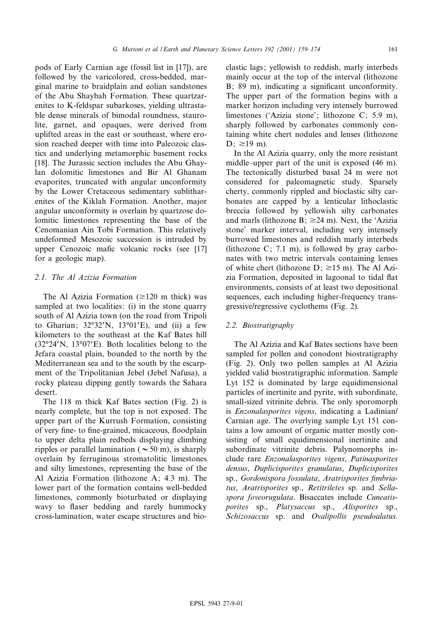pods of Early Carnian age (fossil list in [17]), are followed by the varicolored, cross-bedded, marginal marine to braidplain and eolian sandstones of the Abu Shaybah Formation. These quartzarenites to K-feldspar subarkoses, yielding ultrastable dense minerals of bimodal roundness, staurolite, garnet, and opaques, were derived from uplifted areas in the east or southeast, where erosion reached deeper with time into Paleozoic clastics and underlying metamorphic basement rocks [18]. The Jurassic section includes the Abu Ghaylan dolomitic limestones and Bir Al Ghanam evaporites, truncated with angular unconformity by the Lower Cretaceous sedimentary sublitharenites of the Kiklah Formation. Another, major angular unconformity is overlain by quartzose dolomitic limestones representing the base of the Cenomanian Ain Tobi Formation. This relatively undeformed Mesozoic succession is intruded by upper Cenozoic mafic volcanic rocks (see [17] for a geologic map).

# 2.1. The Al Azizia Formation

The Al Azizia Formation  $(\geq 120 \text{ m}$  thick) was sampled at two localities: (i) in the stone quarry south of Al Azizia town (on the road from Tripoli to Gharian;  $32^{\circ}32'N$ ,  $13^{\circ}01'E$ ), and (ii) a few kilometers to the southeast at the Kaf Bates hill  $(32^{\circ}24'N, 13^{\circ}07'E)$ . Both localities belong to the Jefara coastal plain, bounded to the north by the Mediterranean sea and to the south by the escarpment of the Tripolitanian Jebel (Jebel Nafusa), a rocky plateau dipping gently towards the Sahara desert.

The 118 m thick Kaf Bates section (Fig. 2) is nearly complete, but the top is not exposed. The upper part of the Kurrush Formation, consisting of very fine- to fine-grained, micaceous, floodplain to upper delta plain redbeds displaying climbing ripples or parallel lamination ( $\sim$  50 m), is sharply overlain by ferruginous stromatolitic limestones and silty limestones, representing the base of the Al Azizia Formation (lithozone A; 4.3 m). The lower part of the formation contains well-bedded limestones, commonly bioturbated or displaying wavy to flaser bedding and rarely hummocky cross-lamination, water escape structures and bioclastic lags; yellowish to reddish, marly interbeds mainly occur at the top of the interval (lithozone B; 89 m), indicating a significant unconformity. The upper part of the formation begins with a marker horizon including very intensely burrowed limestones (`Azizia stone'; lithozone C; 5.9 m), sharply followed by carbonates commonly containing white chert nodules and lenses (lithozone  $D: \ge 19$  m).

In the Al Azizia quarry, only the more resistant middle–upper part of the unit is exposed (46 m). The tectonically disturbed basal 24 m were not considered for paleomagnetic study. Sparsely cherty, commonly rippled and bioclastic silty carbonates are capped by a lenticular lithoclastic breccia followed by yellowish silty carbonates and marls (lithozone B;  $\geq$ 24 m). Next, the 'Azizia stone' marker interval, including very intensely burrowed limestones and reddish marly interbeds (lithozone C; 7.1 m), is followed by gray carbonates with two metric intervals containing lenses of white chert (lithozone D;  $\geq 15$  m). The Al Azizia Formation, deposited in lagoonal to tidal flat environments, consists of at least two depositional sequences, each including higher-frequency transgressive/regressive cyclothems (Fig. 2).

# 2.2. Biostratigraphy

The Al Azizia and Kaf Bates sections have been sampled for pollen and conodont biostratigraphy (Fig. 2). Only two pollen samples at Al Azizia yielded valid biostratigraphic information. Sample Lyt 152 is dominated by large equidimensional particles of inertinite and pyrite, with subordinate, small-sized vitrinite debris. The only sporomorph is Enzonalasporites vigens, indicating a Ladinian/ Carnian age. The overlying sample Lyt 151 contains a low amount of organic matter mostly consisting of small equidimensional inertinite and subordinate vitrinite debris. Palynomorphs include rare Enzonalasporites vigens, Patinasporites densus, Duplicisporites granulatus, Duplicisporites sp., Gordonispora fossulata, Aratrisporites fimbriatus, Aratrisporites sp., Retitriletes sp. and Sellaspora foveorugulata. Bisaccates include Cuneatisporites sp., Platysaccus sp., Alisporites sp., Schizosaccus sp. and Ovalipollis pseudoalatus.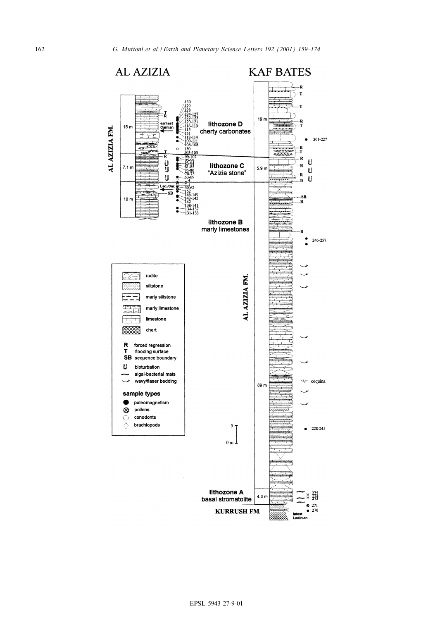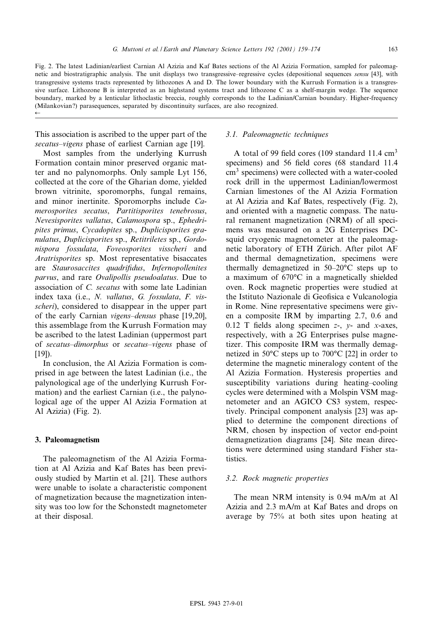Fig. 2. The latest Ladinian/earliest Carnian Al Azizia and Kaf Bates sections of the Al Azizia Formation, sampled for paleomagnetic and biostratigraphic analysis. The unit displays two transgressive–regressive cycles (depositional sequences sensu [43], with transgressive systems tracts represented by lithozones A and D. The lower boundary with the Kurrush Formation is a transgressive surface. Lithozone B is interpreted as an highstand systems tract and lithozone C as a shelf-margin wedge. The sequence boundary, marked by a lenticular lithoclastic breccia, roughly corresponds to the Ladinian/Carnian boundary. Higher-frequency (Milankovian?) parasequences, separated by discontinuity surfaces, are also recognized.  $\leftarrow$ 

This association is ascribed to the upper part of the secatus–vigens phase of earliest Carnian age [19].

Most samples from the underlying Kurrush Formation contain minor preserved organic matter and no palynomorphs. Only sample Lyt 156, collected at the core of the Gharian dome, yielded brown vitrinite, sporomorphs, fungal remains, and minor inertinite. Sporomorphs include Camerosporites secatus, Partitisporites tenebrosus, Nevesisporites vallatus, Calamospora sp., Ephedripites primus, Cycadopites sp., Duplicisporites granulatus, Duplicisporites sp., Retitriletes sp., Gordonispora fossulata, Foveosporites visscheri and Aratrisporites sp. Most representative bisaccates are Staurosaccites quadrifidus, Infernopollenites parvus, and rare Ovalipollis pseudoalatus. Due to association of C. secatus with some late Ladinian index taxa (i.e., N. vallatus, G. fossulata, F. visscheri), considered to disappear in the upper part of the early Carnian *vigens–densus* phase  $[19,20]$ , this assemblage from the Kurrush Formation may be ascribed to the latest Ladinian (uppermost part of *secatus–dimorphus* or *secatus–vigens* phase of  $[19]$ ).

In conclusion, the Al Azizia Formation is comprised in age between the latest Ladinian (i.e., the palynological age of the underlying Kurrush Formation) and the earliest Carnian (i.e., the palynological age of the upper Al Azizia Formation at Al Azizia) (Fig. 2).

# 3. Paleomagnetism

The paleomagnetism of the Al Azizia Formation at Al Azizia and Kaf Bates has been previously studied by Martin et al. [21]. These authors were unable to isolate a characteristic component of magnetization because the magnetization intensity was too low for the Schonstedt magnetometer at their disposal.

## 3.1. Paleomagnetic techniques

A total of 99 field cores (109 standard 11.4  $\text{cm}^3$ ) specimens) and 56 field cores (68 standard 11.4 cm<sup>3</sup> specimens) were collected with a water-cooled rock drill in the uppermost Ladinian/lowermost Carnian limestones of the Al Azizia Formation at Al Azizia and Kaf Bates, respectively (Fig. 2), and oriented with a magnetic compass. The natural remanent magnetization (NRM) of all specimens was measured on a 2G Enterprises DCsquid cryogenic magnetometer at the paleomagnetic laboratory of ETH Zürich. After pilot AF and thermal demagnetization, specimens were thermally demagnetized in  $50-20$ °C steps up to a maximum of  $670^{\circ}$ C in a magnetically shielded oven. Rock magnetic properties were studied at the Istituto Nazionale di Geofisica e Vulcanologia in Rome. Nine representative specimens were given a composite IRM by imparting 2.7, 0.6 and 0.12 T fields along specimen  $z$ -,  $y$ - and  $x$ -axes, respectively, with a 2G Enterprises pulse magnetizer. This composite IRM was thermally demagnetized in  $50^{\circ}$ C steps up to  $700^{\circ}$ C [22] in order to determine the magnetic mineralogy content of the Al Azizia Formation. Hysteresis properties and susceptibility variations during heating-cooling cycles were determined with a Molspin VSM magnetometer and an AGICO CS3 system, respectively. Principal component analysis [23] was applied to determine the component directions of NRM, chosen by inspection of vector end-point demagnetization diagrams [24]. Site mean directions were determined using standard Fisher statistics.

# 3.2. Rock magnetic properties

The mean NRM intensity is 0.94 mA/m at Al Azizia and 2.3 mA/m at Kaf Bates and drops on average by 75% at both sites upon heating at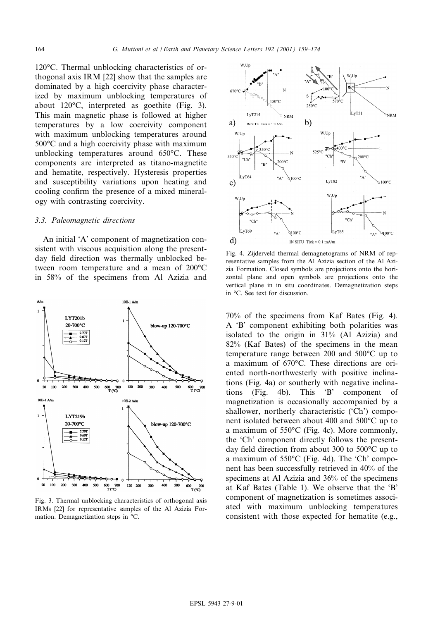120°C. Thermal unblocking characteristics of orthogonal axis IRM [22] show that the samples are dominated by a high coercivity phase characterized by maximum unblocking temperatures of about  $120^{\circ}$ C, interpreted as goethite (Fig. 3). This main magnetic phase is followed at higher temperatures by a low coercivity component with maximum unblocking temperatures around 500°C and a high coercivity phase with maximum unblocking temperatures around  $650^{\circ}$ C. These components are interpreted as titano-magnetite and hematite, respectively. Hysteresis properties and susceptibility variations upon heating and cooling confirm the presence of a mixed mineralogy with contrasting coercivity.

#### 3.3. Paleomagnetic directions

An initial `A' component of magnetization consistent with viscous acquisition along the presentday field direction was thermally unblocked between room temperature and a mean of  $200^{\circ}$ C in 58% of the specimens from Al Azizia and



Fig. 3. Thermal unblocking characteristics of orthogonal axis IRMs [22] for representative samples of the Al Azizia Formation. Demagnetization steps in °C.



Fig. 4. Zijderveld thermal demagnetograms of NRM of representative samples from the Al Azizia section of the Al Azizia Formation. Closed symbols are projections onto the horizontal plane and open symbols are projections onto the vertical plane in in situ coordinates. Demagnetization steps in  $°C$ . See text for discussion.

70% of the specimens from Kaf Bates (Fig. 4). A `B' component exhibiting both polarities was isolated to the origin in 31% (Al Azizia) and 82% (Kaf Bates) of the specimens in the mean temperature range between 200 and  $500^{\circ}$ C up to a maximum of 670°C. These directions are oriented north-northwesterly with positive inclinations (Fig. 4a) or southerly with negative inclinations (Fig. 4b). This `B' component of magnetization is occasionally accompanied by a shallower, northerly characteristic ('Ch') component isolated between about 400 and  $500^{\circ}$ C up to a maximum of  $550^{\circ}$ C (Fig. 4c). More commonly, the `Ch' component directly follows the presentday field direction from about 300 to  $500^{\circ}$ C up to a maximum of  $550^{\circ}$ C (Fig. 4d). The 'Ch' component has been successfully retrieved in 40% of the specimens at Al Azizia and 36% of the specimens at Kaf Bates (Table 1). We observe that the `B' component of magnetization is sometimes associated with maximum unblocking temperatures consistent with those expected for hematite (e.g.,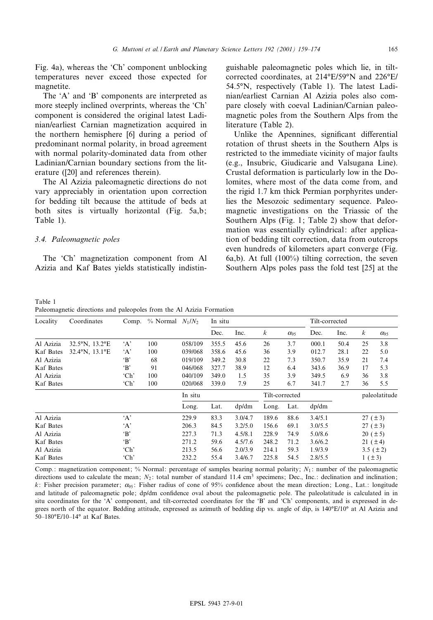Fig. 4a), whereas the `Ch' component unblocking temperatures never exceed those expected for magnetite.

The 'A' and 'B' components are interpreted as more steeply inclined overprints, whereas the 'Ch' component is considered the original latest Ladinian/earliest Carnian magnetization acquired in the northern hemisphere [6] during a period of predominant normal polarity, in broad agreement with normal polarity-dominated data from other Ladinian/Carnian boundary sections from the literature ([20] and references therein).

The Al Azizia paleomagnetic directions do not vary appreciably in orientation upon correction for bedding tilt because the attitude of beds at both sites is virtually horizontal (Fig. 5a,b; Table 1).

# 3.4. Paleomagnetic poles

Table 1

The 'Ch' magnetization component from Al Azizia and Kaf Bates yields statistically indistin-

guishable paleomagnetic poles which lie, in tiltcorrected coordinates, at 214°E/59°N and 226°E/ 54.5³N, respectively (Table 1). The latest Ladinian/earliest Carnian Al Azizia poles also compare closely with coeval Ladinian/Carnian paleomagnetic poles from the Southern Alps from the literature (Table 2).

Unlike the Apennines, significant differential rotation of thrust sheets in the Southern Alps is restricted to the immediate vicinity of major faults (e.g., Insubric, Giudicarie and Valsugana Line). Crustal deformation is particularly low in the Dolomites, where most of the data come from, and the rigid 1.7 km thick Permian porphyrites underlies the Mesozoic sedimentary sequence. Paleomagnetic investigations on the Triassic of the Southern Alps (Fig. 1; Table 2) show that deformation was essentially cylindrical: after application of bedding tilt correction, data from outcrops even hundreds of kilometers apart converge (Fig. 6a,b). At full (100%) tilting correction, the seven Southern Alps poles pass the fold test [25] at the

|           | Paleomagnetic directions and paleopoles from the Al Azizia Formation |              |                       |         |         |         |                  |                        |                |      |               |               |
|-----------|----------------------------------------------------------------------|--------------|-----------------------|---------|---------|---------|------------------|------------------------|----------------|------|---------------|---------------|
| Locality  | Coordinates                                                          | Comp.        | $\%$ Normal $N_1/N_2$ |         | In situ |         |                  |                        | Tilt-corrected |      |               |               |
|           |                                                                      |              |                       |         | Dec.    | Inc.    | $\boldsymbol{k}$ | $\alpha$ <sub>95</sub> | Dec.           | Inc. | k             | $\alpha_{95}$ |
| Al Azizia | 32.5°N, 13.2°E                                                       | A            | 100                   | 058/109 | 355.5   | 45.6    | 26               | 3.7                    | 000.1          | 50.4 | 25            | 3.8           |
| Kaf Bates | $32.4^{\circ}$ N, $13.1^{\circ}$ E                                   | A            | 100                   | 039/068 | 358.6   | 45.6    | 36               | 3.9                    | 012.7          | 28.1 | 22            | 5.0           |
| Al Azizia |                                                                      | $\mathbf{B}$ | 68                    | 019/109 | 349.2   | 30.8    | 22               | 7.3                    | 350.7          | 35.9 | 21            | 7.4           |
| Kaf Bates |                                                                      | 'B'          | 91                    | 046/068 | 327.7   | 38.9    | 12               | 6.4                    | 343.6          | 36.9 | 17            | 5.3           |
| Al Azizia |                                                                      | 'Ch'         | 100                   | 040/109 | 349.0   | 1.5     | 35               | 3.9                    | 349.5          | 6.9  | 36            | 3.8           |
| Kaf Bates |                                                                      | 'Ch'         | 100                   | 020/068 | 339.0   | 7.9     | 25               | 6.7                    | 341.7          | 2.7  | 36            | 5.5           |
|           |                                                                      |              |                       | In situ |         |         | Tilt-corrected   |                        |                |      | paleolatitude |               |
|           |                                                                      |              |                       | Long.   | Lat.    | dp/dm   | Long.            | Lat.                   | dp/dm          |      |               |               |
| Al Azizia |                                                                      | A            |                       | 229.9   | 83.3    | 3.0/4.7 | 189.6            | 88.6                   | 3.4/5.1        |      | 27(.13)       |               |
| Kaf Bates |                                                                      | A            |                       | 206.3   | 84.5    | 3.2/5.0 | 156.6            | 69.1                   | 3.0/5.5        |      | 27(.13)       |               |
| Al Azizia |                                                                      | $\cdot$ B    |                       | 227.3   | 71.3    | 4.5/8.1 | 228.9            | 74.9                   | 5.0/8.6        |      | 20(.15)       |               |
| Kaf Bates |                                                                      | $\cdot$ B    |                       | 271.2   | 59.6    | 4.5/7.6 | 248.2            | 71.2                   | 3.6/6.2        |      | 21(.14)       |               |
| Al Azizia |                                                                      | 'Ch'         |                       | 213.5   | 56.6    | 2.0/3.9 | 214.1            | 59.3                   | 1.9/3.9        |      |               | 3.5 $(\pm 2)$ |
| Kaf Bates |                                                                      | 'Ch'         |                       | 232.2   | 55.4    | 3.4/6.7 | 225.8            | 54.5                   | 2.8/5.5        |      | 1 (± 3)       |               |

Comp.: magnetization component; % Normal: percentage of samples bearing normal polarity;  $N_1$ : number of the paleomagnetic directions used to calculate the mean;  $N_2$ : total number of standard 11.4 cm<sup>3</sup> specimens; Dec., Inc.: declination and inclination; k: Fisher precision parameter;  $\alpha_{95}$ : Fisher radius of cone of 95% confidence about the mean direction; Long., Lat.: longitude and latitude of paleomagnetic pole; dp/dm confidence oval about the paleomagnetic pole. The paleolatitude is calculated in in situ coordinates for the 'A' component, and tilt-corrected coordinates for the 'B' and 'Ch' components, and is expressed in degrees north of the equator. Bedding attitude, expressed as azimuth of bedding dip vs. angle of dip, is 140°E/10° at Al Azizia and 50-180°E/10-14° at Kaf Bates.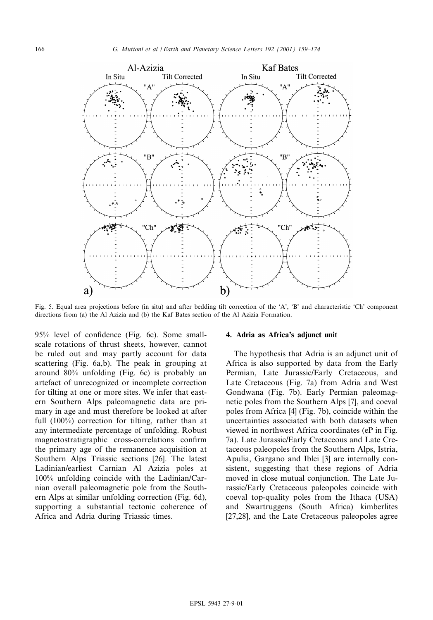

Fig. 5. Equal area projections before (in situ) and after bedding tilt correction of the 'A', 'B' and characteristic 'Ch' component directions from (a) the Al Azizia and (b) the Kaf Bates section of the Al Azizia Formation.

95% level of confidence (Fig. 6c). Some smallscale rotations of thrust sheets, however, cannot be ruled out and may partly account for data scattering (Fig. 6a,b). The peak in grouping at around 80% unfolding (Fig. 6c) is probably an artefact of unrecognized or incomplete correction for tilting at one or more sites. We infer that eastern Southern Alps paleomagnetic data are primary in age and must therefore be looked at after full (100%) correction for tilting, rather than at any intermediate percentage of unfolding. Robust magnetostratigraphic cross-correlations confirm the primary age of the remanence acquisition at Southern Alps Triassic sections [26]. The latest Ladinian/earliest Carnian Al Azizia poles at 100% unfolding coincide with the Ladinian/Carnian overall paleomagnetic pole from the Southern Alps at similar unfolding correction (Fig. 6d), supporting a substantial tectonic coherence of Africa and Adria during Triassic times.

## 4. Adria as Africa's adjunct unit

The hypothesis that Adria is an adjunct unit of Africa is also supported by data from the Early Permian, Late Jurassic/Early Cretaceous, and Late Cretaceous (Fig. 7a) from Adria and West Gondwana (Fig. 7b). Early Permian paleomagnetic poles from the Southern Alps [7], and coeval poles from Africa [4] (Fig. 7b), coincide within the uncertainties associated with both datasets when viewed in northwest Africa coordinates (eP in Fig. 7a). Late Jurassic/Early Cretaceous and Late Cretaceous paleopoles from the Southern Alps, Istria, Apulia, Gargano and Iblei [3] are internally consistent, suggesting that these regions of Adria moved in close mutual conjunction. The Late Jurassic/Early Cretaceous paleopoles coincide with coeval top-quality poles from the Ithaca (USA) and Swartruggens (South Africa) kimberlites [27,28], and the Late Cretaceous paleopoles agree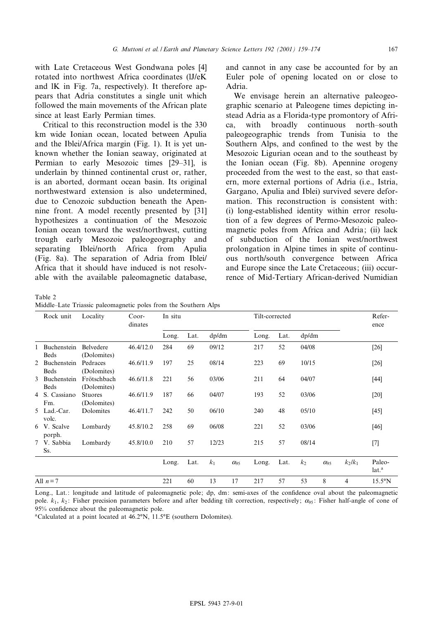with Late Cretaceous West Gondwana poles [4] rotated into northwest Africa coordinates (lJ/eK and lK in Fig. 7a, respectively). It therefore appears that Adria constitutes a single unit which followed the main movements of the African plate since at least Early Permian times.

Critical to this reconstruction model is the 330 km wide Ionian ocean, located between Apulia and the Iblei/Africa margin (Fig. 1). It is yet unknown whether the Ionian seaway, originated at Permian to early Mesozoic times [29-31], is underlain by thinned continental crust or, rather, is an aborted, dormant ocean basin. Its original northwestward extension is also undetermined, due to Cenozoic subduction beneath the Apennine front. A model recently presented by [31] hypothesizes a continuation of the Mesozoic Ionian ocean toward the west/northwest, cutting trough early Mesozoic paleogeography and separating Iblei/north Africa from Apulia (Fig. 8a). The separation of Adria from Iblei/ Africa that it should have induced is not resolvable with the available paleomagnetic database,

Table 2 Middle^Late Triassic paleomagnetic poles from the Southern Alps

and cannot in any case be accounted for by an Euler pole of opening located on or close to Adria.

We envisage herein an alternative paleogeographic scenario at Paleogene times depicting instead Adria as a Florida-type promontory of Africa, with broadly continuous north^south paleogeographic trends from Tunisia to the Southern Alps, and confined to the west by the Mesozoic Ligurian ocean and to the southeast by the Ionian ocean (Fig. 8b). Apennine orogeny proceeded from the west to the east, so that eastern, more external portions of Adria (i.e., Istria, Gargano, Apulia and Iblei) survived severe deformation. This reconstruction is consistent with: (i) long-established identity within error resolution of a few degrees of Permo-Mesozoic paleomagnetic poles from Africa and Adria; (ii) lack of subduction of the Ionian west/northwest prolongation in Alpine times in spite of continuous north/south convergence between Africa and Europe since the Late Cretaceous; (iii) occurrence of Mid-Tertiary African-derived Numidian

| Rock unit |                              | Locality                      | $Coor-$<br>dinates | In situ |      |                |                        | Tilt-corrected |      |                |                        |                | Refer-<br>ence              |
|-----------|------------------------------|-------------------------------|--------------------|---------|------|----------------|------------------------|----------------|------|----------------|------------------------|----------------|-----------------------------|
|           |                              |                               |                    | Long.   | Lat. | dp/dm          |                        | Long.          | Lat. | dp/dm          |                        |                |                             |
|           | 1 Buchenstein<br>Beds        | Belvedere<br>(Dolomites)      | 46.4/12.0          | 284     | 69   | 09/12          |                        | 217            | 52   | 04/08          |                        |                | $[26]$                      |
|           | 2 Buchenstein<br><b>Beds</b> | Pedraces<br>(Dolomites)       | 46.6/11.9          | 197     | 25   | 08/14          |                        | 223            | 69   | 10/15          |                        |                | $[26]$                      |
|           | 3 Buchenstein<br>Beds        | Frötschbach<br>(Dolomites)    | 46.6/11.8          | 221     | 56   | 03/06          |                        | 211            | 64   | 04/07          |                        |                | $[44]$                      |
|           | 4 S. Cassiano<br>Fm.         | <b>Stuores</b><br>(Dolomites) | 46.6/11.9          | 187     | 66   | 04/07          |                        | 193            | 52   | 03/06          |                        |                | $[20]$                      |
|           | 5 Lad.-Car.<br>volc.         | Dolomites                     | 46.4/11.7          | 242     | 50   | 06/10          |                        | 240            | 48   | 05/10          |                        |                | $[45]$                      |
|           | 6 V. Scalve<br>porph.        | Lombardy                      | 45.8/10.2          | 258     | 69   | 06/08          |                        | 221            | 52   | 03/06          |                        |                | [46]                        |
|           | 7 V. Sabbia<br>Ss.           | Lombardy                      | 45.8/10.0          | 210     | 57   | 12/23          |                        | 215            | 57   | 08/14          |                        |                | $[7]$                       |
|           |                              |                               |                    | Long.   | Lat. | k <sub>1</sub> | $\alpha$ <sub>95</sub> | Long.          | Lat. | k <sub>2</sub> | $\alpha$ <sub>95</sub> | $k_2/k_1$      | Paleo-<br>lat. <sup>a</sup> |
| All $n=7$ |                              |                               |                    | 221     | 60   | 13             | 17                     | 217            | 57   | 53             | 8                      | $\overline{4}$ | $15.5^{\circ}$ N            |

Long., Lat.: longitude and latitude of paleomagnetic pole; dp, dm: semi-axes of the confidence oval about the paleomagnetic pole.  $k_1, k_2$ : Fisher precision parameters before and after bedding tilt correction, respectively;  $\alpha_{95}$ : Fisher half-angle of cone of 95% confidence about the paleomagnetic pole.

<sup>a</sup>Calculated at a point located at 46.2°N, 11.5°E (southern Dolomites).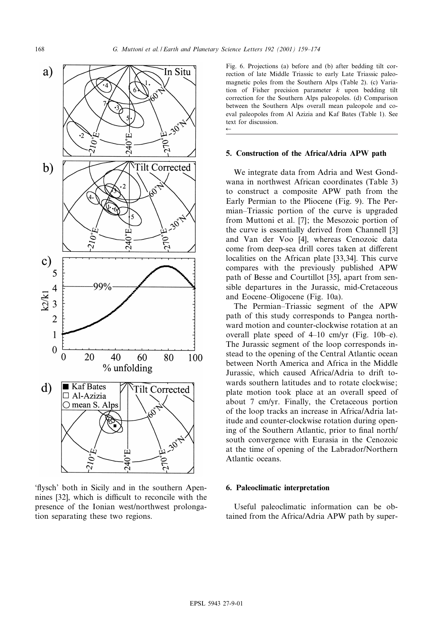

`£ysch' both in Sicily and in the southern Apennines [32], which is difficult to reconcile with the presence of the Ionian west/northwest prolongation separating these two regions.

Fig. 6. Projections (a) before and (b) after bedding tilt correction of late Middle Triassic to early Late Triassic paleomagnetic poles from the Southern Alps (Table 2). (c) Variation of Fisher precision parameter  $k$  upon bedding tilt correction for the Southern Alps paleopoles. (d) Comparison between the Southern Alps overall mean paleopole and coeval paleopoles from Al Azizia and Kaf Bates (Table 1). See text for discussion.  $\leftarrow$ 

## 5. Construction of the Africa/Adria APW path

We integrate data from Adria and West Gondwana in northwest African coordinates (Table 3) to construct a composite APW path from the Early Permian to the Pliocene (Fig. 9). The Permian–Triassic portion of the curve is upgraded from Muttoni et al. [7]; the Mesozoic portion of the curve is essentially derived from Channell [3] and Van der Voo [4], whereas Cenozoic data come from deep-sea drill cores taken at different localities on the African plate [33,34]. This curve compares with the previously published APW path of Besse and Courtillot [35], apart from sensible departures in the Jurassic, mid-Cretaceous and Eocene–Oligocene (Fig. 10a).

The Permian–Triassic segment of the APW path of this study corresponds to Pangea northward motion and counter-clockwise rotation at an overall plate speed of  $4\n-10$  cm/yr (Fig. 10b-e). The Jurassic segment of the loop corresponds instead to the opening of the Central Atlantic ocean between North America and Africa in the Middle Jurassic, which caused Africa/Adria to drift towards southern latitudes and to rotate clockwise; plate motion took place at an overall speed of about 7 cm/yr. Finally, the Cretaceous portion of the loop tracks an increase in Africa/Adria latitude and counter-clockwise rotation during opening of the Southern Atlantic, prior to final north/ south convergence with Eurasia in the Cenozoic at the time of opening of the Labrador/Northern Atlantic oceans.

## 6. Paleoclimatic interpretation

Useful paleoclimatic information can be obtained from the Africa/Adria APW path by super-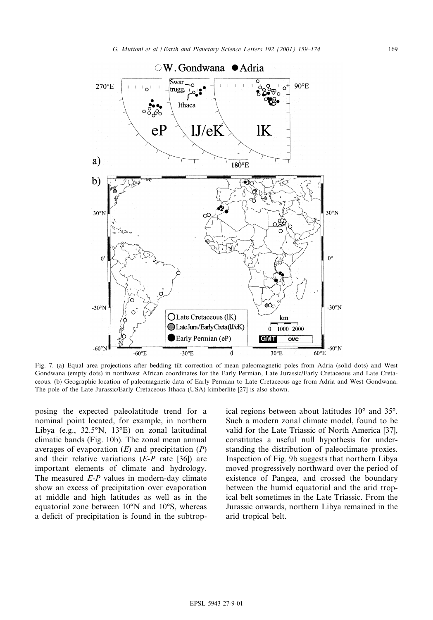

Fig. 7. (a) Equal area projections after bedding tilt correction of mean paleomagnetic poles from Adria (solid dots) and West Gondwana (empty dots) in northwest African coordinates for the Early Permian, Late Jurassic/Early Cretaceous and Late Cretaceous. (b) Geographic location of paleomagnetic data of Early Permian to Late Cretaceous age from Adria and West Gondwana. The pole of the Late Jurassic/Early Cretaceous Ithaca (USA) kimberlite [27] is also shown.

posing the expected paleolatitude trend for a nominal point located, for example, in northern Libya (e.g.,  $32.5^\circ N$ ,  $13^\circ E$ ) on zonal latitudinal climatic bands (Fig. 10b). The zonal mean annual averages of evaporation  $(E)$  and precipitation  $(P)$ and their relative variations  $(E-P \text{ rate } [36])$  are important elements of climate and hydrology. The measured *E-P* values in modern-day climate show an excess of precipitation over evaporation at middle and high latitudes as well as in the equatorial zone between  $10^{\circ}N$  and  $10^{\circ}S$ , whereas a deficit of precipitation is found in the subtrop-

ical regions between about latitudes  $10^{\circ}$  and  $35^{\circ}$ . Such a modern zonal climate model, found to be valid for the Late Triassic of North America [37], constitutes a useful null hypothesis for understanding the distribution of paleoclimate proxies. Inspection of Fig. 9b suggests that northern Libya moved progressively northward over the period of existence of Pangea, and crossed the boundary between the humid equatorial and the arid tropical belt sometimes in the Late Triassic. From the Jurassic onwards, northern Libya remained in the arid tropical belt.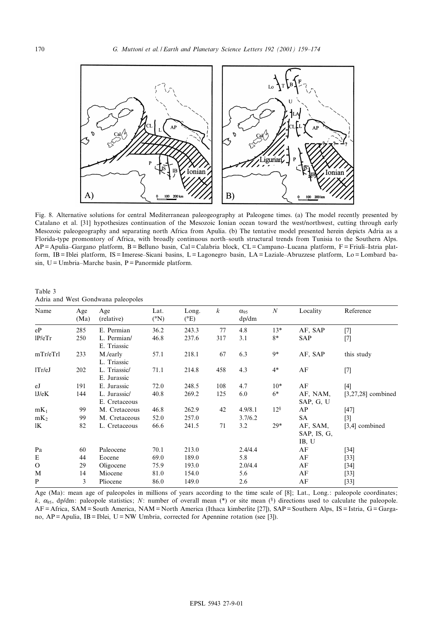

Fig. 8. Alternative solutions for central Mediterranean paleogeography at Paleogene times. (a) The model recently presented by Catalano et al. [31] hypothesizes continuation of the Mesozoic Ionian ocean toward the west/northwest, cutting through early Mesozoic paleogeography and separating north Africa from Apulia. (b) The tentative model presented herein depicts Adria as a Florida-type promontory of Africa, with broadly continuous north-south structural trends from Tunisia to the Southern Alps.  $AP =$  Apulia–Gargano platform, B = Belluno basin, Cal = Calabria block, CL = Campano–Lucana platform, F = Friuli–Istria platform, IB = Iblei platform, IS = Imerese-Sicani basins, L = Lagonegro basin, LA = Laziale-Abruzzese platform, Lo = Lombard ba $sin, U = Umbria-Marche$  basin, P = Panormide platform.

| Name            | Age<br>(Ma) | Age<br>(relative)             | Lat.<br>$({}^{\circ}N)$ | Long.<br>$(^{\circ}E)$ | $\boldsymbol{k}$ | $\alpha_{95}$<br>dp/dm | $\boldsymbol{N}$ | Locality                                             | Reference            |
|-----------------|-------------|-------------------------------|-------------------------|------------------------|------------------|------------------------|------------------|------------------------------------------------------|----------------------|
| eP              | 285         | E. Permian                    | 36.2                    | 243.3                  | 77               | 4.8                    | $13*$            | AF, SAP                                              | $[7]$                |
| 1P/eTr          | 250         | L. Permian/<br>E. Triassic    | 46.8                    | 237.6                  | 317              | 3.1                    | 8*               | SAP                                                  | $[7]$                |
| mTr/eTrl        | 233         | M./early<br>L. Triassic       | 57.1                    | 218.1                  | 67               | 6.3                    | 9*               | AF, SAP                                              | this study           |
| 1Tr/eJ          | 202         | L. Triassic/<br>E. Jurassic   | 71.1                    | 214.8                  | 458              | 4.3                    | $4*$             | AF                                                   | $[7]$                |
| eJ              | 191         | E. Jurassic                   | 72.0                    | 248.5                  | 108              | 4.7                    | $10*$            | AF                                                   | $[4]$                |
| 1J/eK           | 144         | L. Jurassic/<br>E. Cretaceous | 40.8                    | 269.2                  | 125              | 6.0                    | $6*$             | AF, NAM,<br>SAP, G, U                                | $[3,27,28]$ combined |
| $mK_1$          | 99          | M. Cretaceous                 | 46.8                    | 262.9                  | 42               | 4.9/8.1                | 12 <sup>§</sup>  | AP                                                   | $[47]$               |
| mK <sub>2</sub> | 99          | M. Cretaceous                 | 52.0                    | 257.0                  |                  | 3.7/6.2                |                  | SA                                                   | $[3]$                |
| lK              | 82          | L. Cretaceous                 | 66.6                    | 241.5                  | 71               | 3.2                    | $29*$            | AF, SAM,<br>$[3,4]$ combined<br>SAP, IS, G,<br>IB, U |                      |
| Pa              | 60          | Paleocene                     | 70.1                    | 213.0                  |                  | 2.4/4.4                |                  | AF                                                   | $[34]$               |
| E               | 44          | Eocene                        | 69.0                    | 189.0                  |                  | 5.8                    |                  | AF                                                   | $[33]$               |
| $\mathbf{O}$    | 29          | Oligocene                     | 75.9                    | 193.0                  |                  | 2.0/4.4                |                  | AF                                                   | $[34]$               |
| M               | 14          | Miocene                       | 81.0                    | 154.0                  |                  | 5.6                    |                  | AF                                                   | $[33]$               |
| P               | 3           | Pliocene                      | 86.0                    | 149.0                  |                  | 2.6                    |                  | AF                                                   | $[33]$               |

Table 3 Adria and West Gondwana paleopoles

Age (Ma): mean age of paleopoles in millions of years according to the time scale of [8]; Lat., Long.: paleopole coordinates; k,  $\alpha_{95}$ , dp/dm: paleopole statistics; N: number of overall mean (\*) or site mean (\*) directions used to calculate the paleopole. AF = Africa, SAM = South America, NAM = North America (Ithaca kimberlite [27]), SAP = Southern Alps, IS = Istria, G = Gargano, AP = Apulia, IB = Iblei, U = NW Umbria, corrected for Apennine rotation (see [3]).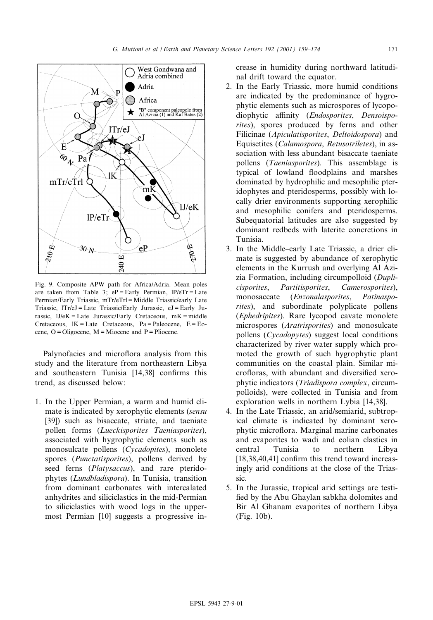

Fig. 9. Composite APW path for Africa/Adria. Mean poles are taken from Table 3;  $eP =$ Early Permian,  $IP/e$ Tr = Late Permian/Early Triassic, mTr/eTrl = Middle Triassic/early Late Triassic, lTr/eJ = Late Triassic/Early Jurassic, eJ = Early Jurassic,  $1J/eK =$  Late Jurassic/Early Cretaceous,  $mK =$  middle Cretaceous,  $IK = Late$  Cretaceous,  $Pa = Paleocene$ ,  $E = Eo$ cene,  $O = Oligocene$ ,  $M = Miocene$  and  $P = Piocene$ .

Palynofacies and microflora analysis from this study and the literature from northeastern Libya and southeastern Tunisia  $[14,38]$  confirms this trend, as discussed below:

1. In the Upper Permian, a warm and humid climate is indicated by xerophytic elements (sensu [39]) such as bisaccate, striate, and taeniate pollen forms (Lueckisporites Taeniasporites), associated with hygrophytic elements such as monosulcate pollens (Cycadopites), monolete spores (Punctatisporites), pollens derived by seed ferns (*Platysaccus*), and rare pteridophytes (Lundbladispora). In Tunisia, transition from dominant carbonates with intercalated anhydrites and siliciclastics in the mid-Permian to siliciclastics with wood logs in the uppermost Permian [10] suggests a progressive increase in humidity during northward latitudinal drift toward the equator.

- 2. In the Early Triassic, more humid conditions are indicated by the predominance of hygrophytic elements such as microspores of lycopodiophytic affinity (Endosporites, Densoisporites), spores produced by ferns and other Filicinae (Apiculatisporites, Deltoidospora) and Equisetites (Calamospora, Retusotriletes), in association with less abundant bisaccate taeniate pollens (Taeniasporites). This assemblage is typical of lowland floodplains and marshes dominated by hydrophilic and mesophilic pteridophytes and pteridosperms, possibly with locally drier environments supporting xerophilic and mesophilic conifers and pteridosperms. Subequatorial latitudes are also suggested by dominant redbeds with laterite concretions in Tunisia.
- 3. In the Middle^early Late Triassic, a drier climate is suggested by abundance of xerophytic elements in the Kurrush and overlying Al Azizia Formation, including circumpolloid (Duplicisporites, Partitisporites, Camerosporites), monosaccate (Enzonalasporites, Patinasporites), and subordinate polyplicate pollens (Ephedripites). Rare lycopod cavate monolete microspores (Aratrisporites) and monosulcate pollens (Cycadopytes) suggest local conditions characterized by river water supply which promoted the growth of such hygrophytic plant communities on the coastal plain. Similar microfloras, with abundant and diversified xerophytic indicators (Triadispora complex, circumpolloids), were collected in Tunisia and from exploration wells in northern Lybia [14,38].
- 4. In the Late Triassic, an arid/semiarid, subtropical climate is indicated by dominant xerophytic microflora. Marginal marine carbonates and evaporites to wadi and eolian clastics in central Tunisia to northern Libya  $[18,38,40,41]$  confirm this trend toward increasingly arid conditions at the close of the Triassic.
- 5. In the Jurassic, tropical arid settings are testi fied by the Abu Ghaylan sabkha dolomites and Bir Al Ghanam evaporites of northern Libya (Fig. 10b).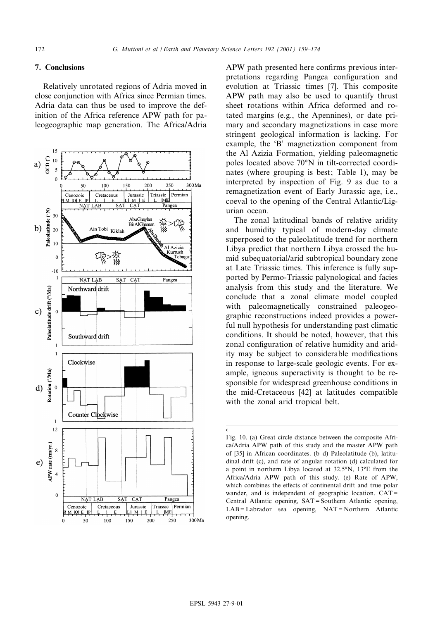# 7. Conclusions

Relatively unrotated regions of Adria moved in close conjunction with Africa since Permian times. Adria data can thus be used to improve the definition of the Africa reference APW path for paleogeographic map generation. The Africa/Adria



APW path presented here confirms previous interpretations regarding Pangea configuration and evolution at Triassic times [7]. This composite APW path may also be used to quantify thrust sheet rotations within Africa deformed and rotated margins (e.g., the Apennines), or date primary and secondary magnetizations in case more stringent geological information is lacking. For example, the `B' magnetization component from the Al Azizia Formation, yielding paleomagnetic poles located above 70°N in tilt-corrected coordinates (where grouping is best; Table 1), may be interpreted by inspection of Fig. 9 as due to a remagnetization event of Early Jurassic age, i.e., coeval to the opening of the Central Atlantic/Ligurian ocean.

The zonal latitudinal bands of relative aridity and humidity typical of modern-day climate superposed to the paleolatitude trend for northern Libya predict that northern Libya crossed the humid subequatorial/arid subtropical boundary zone at Late Triassic times. This inference is fully supported by Permo-Triassic palynological and facies analysis from this study and the literature. We conclude that a zonal climate model coupled with paleomagnetically constrained paleogeographic reconstructions indeed provides a powerful null hypothesis for understanding past climatic conditions. It should be noted, however, that this zonal configuration of relative humidity and aridity may be subject to considerable modifications in response to large-scale geologic events. For example, igneous superactivity is thought to be responsible for widespread greenhouse conditions in the mid-Cretaceous [42] at latitudes compatible with the zonal arid tropical belt.

 $\leftarrow$ Fig. 10. (a) Great circle distance between the composite Africa/Adria APW path of this study and the master APW path of [35] in African coordinates. (b^d) Paleolatitude (b), latitudinal drift (c), and rate of angular rotation (d) calculated for a point in northern Libya located at  $32.5^\circ N$ ,  $13^\circ E$  from the Africa/Adria APW path of this study. (e) Rate of APW, which combines the effects of continental drift and true polar wander, and is independent of geographic location. CAT = Central Atlantic opening, SAT = Southern Atlantic opening, LAB = Labrador sea opening, NAT = Northern Atlantic opening.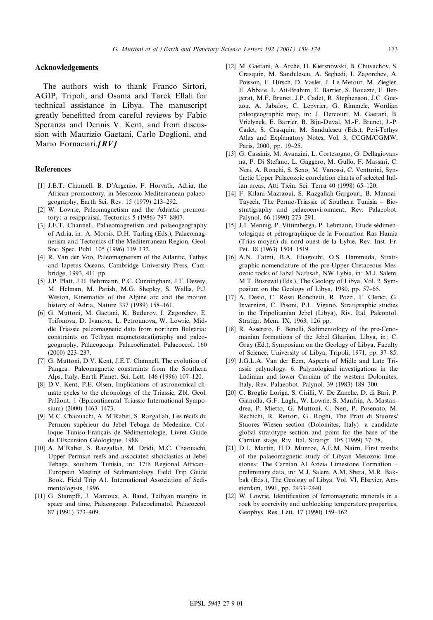## Acknowledgements

The authors wish to thank Franco Sirtori, AGIP, Tripoli, and Osama and Tarek Ellali for technical assistance in Libya. The manuscript greatly benefitted from careful reviews by Fabio Speranza and Dennis V. Kent, and from discussion with Maurizio Gaetani, Carlo Doglioni, and Mario Fornaciari. $IRVI$ 

#### References

- [1] J.E.T. Channell, B. D'Argenio, F. Horvath, Adria, the African promontory, in Mesozoic Mediterranean palaeogeography, Earth Sci. Rev. 15 (1979) 213^292.
- [2] W. Lowrie, Paleomagnetism and the Adriatic promontory: a reappraisal, Tectonics 5 (1986) 797^8807.
- [3] J.E.T. Channell, Palaeomagnetism and palaeogeography of Adria, in: A. Morris, D.H. Tarling (Eds.), Palaeomagnetism and Tectonics of the Mediterranean Region, Geol. Soc. Spec. Publ. 105 (1996) 119-132.
- [4] R. Van der Voo, Paleomagnetism of the Atlantic, Tethys and Iapetus Oceans, Cambridge University Press, Cambridge, 1993, 411 pp.
- [5] J.P. Platt, J.H. Behrmann, P.C. Cunningham, J.F. Dewey, M. Helman, M. Parish, M.G. Shepley, S. Wallis, P.J. Weston, Kinematics of the Alpine arc and the motion history of Adria, Nature 337 (1989) 158-161.
- [6] G. Muttoni, M. Gaetani, K. Budurov, I. Zagorchev, E. Trifonova, D. Ivanova, L. Petrounova, W. Lowrie, Middle Triassic paleomagnetic data from northern Bulgaria: constraints on Tethyan magnetostratigraphy and paleogeography, Palaeogeogr. Palaeoclimatol. Palaeoecol. 160  $(2000)$  223-237.
- [7] G. Muttoni, D.V. Kent, J.E.T. Channell, The evolution of Pangea: Paleomagnetic constraints from the Southern Alps, Italy, Earth Planet. Sci. Lett. 146 (1996) 107^120.
- [8] D.V. Kent, P.E. Olsen, Implications of astronomical climate cycles to the chronology of the Triassic, Zbl. Geol. Paläont. 1 (Epicontinental Triassic International Symposium) (2000) 1463-1473.
- [9] M.C. Chaouachi, A. M'Rabet, S. Razgallah, Les récifs du Permien supérieur du Jebel Tebaga de Medenine. Colloque Tuniso-Français de Sédimentologie, Livret Guide de l'Excursion Géologique, 1988.
- [10] A. M'Rabet, S. Razgallah, M. Dridi, M.C. Chaouachi, Upper Permian reefs and associated siliciclastics at Jebel Tebaga, southern Tunisia, in: 17th Regional African^ European Meeting of Sedimentology Field Trip Guide Book, Field Trip A1, International Association of Sedimentologists, 1996.
- [11] G. Stampfli, J. Marcoux, A. Baud, Tethyan margins in space and time, Palaeogeogr. Palaeoclimatol. Palaeoecol. 87 (1991) 373^409.
- [12] M. Gaetani, A. Arche, H. Kiersnowski, B. Chuvachov, S. Crasquin, M. Sandulescu, A. Seghedi, I. Zagorchev, A. Poisson, F. Hirsch, D. Vaslet, J. Le Metour, M. Ziegler, E. Abbate, L. Ait-Brahim, E. Barrier, S. Bouaziz, F. Bergerat, M.F. Brunet, J.P. Cadet, R. Stephenson, J.C. Guezou, A. Jabaloy, C. Lepvrier, G. Rimmele, Wordian paleogeographic map, in: J. Dercourt, M. Gaetani, B. Vrielynck, E. Barrier, B. Biju-Duval, M.-F. Brunet, J.-P. Cadet, S. Crasquin, M. Sandulescu (Eds.), Peri-Tethys Atlas and Explanatory Notes, Vol. 3, CCGM/CGMW, Paris, 2000, pp. 19-25.
- [13] G. Cassinis, M. Avanzini, L. Cortesogno, G. Dellagiovanna, P. Di Stefano, L. Gaggero, M. Gullo, F. Massari, C. Neri, A. Ronchi, S. Seno, M. Vanossi, C. Venturini, Synthetic Upper Palaeozoic correlation charts of selected Italian areas, Atti Ticin. Sci. Terra 40 (1998) 65^120.
- [14] F. Kilani-Mazraoui, S. Razgallah-Gargouri, B. Mannai-Tayech, The Permo-Triassic of Southern Tunisia - Biostratigraphy and palaeoenvironment, Rev. Palaeobot. Palynol. 66 (1990) 273-291.
- [15] J.J. Mennig, P. Vittimberga, P. Lehmann, Etude sédimentologique et pétrographique de la Formation Ras Hamia (Trias moyen) du nord-ouest de la Lybie, Rev. Inst. Fr. Pet. 18 (1963) 1504-1519.
- [16] A.N. Fatmi, B.A. Eliagoubi, O.S. Hammuda, Stratigraphic nomenclature of the pre-Upper Cretaceous Mesozoic rocks of Jabal Nafusah, NW Lybia, in: M.J. Salem, M.T. Busrewil (Eds.), The Geology of Libya, Vol. 2, Symposium on the Geology of Libya, 1980, pp. 57^65.
- [17] A. Desio, C. Rossi Ronchetti, R. Pozzi, F. Clerici, G. Invernizzi, C. Pisoni, P.L. Viganò, Stratigraphic studies in the Tripolitanian Jebel (Libya), Riv. Ital. Paleontol. Stratigr. Mem. IX, 1963, 126 pp.
- [18] R. Assereto, F. Benelli, Sedimentology of the pre-Cenomanian formations of the Jebel Gharian, Libya, in: C. Gray (Ed.), Symposium on the Geology of Libya, Faculty of Science, University of Libya, Tripoli, 1971, pp. 37^85.
- [19] J.G.L.A. Van der Eem, Aspects of Midle and Late Triassic palynology. 6. Palynological investigations in the Ladinian and lower Carnian of the western Dolomites, Italy, Rev. Palaeobot. Palynol. 39 (1983) 189^300.
- [20] C. Broglio Loriga, S. Cirilli, V. De Zanche, D. di Bari, P. Gianolla, G.F. Laghi, W. Lowrie, S. Manfrin, A. Mastandrea, P. Mietto, G. Muttoni, C. Neri, P. Posenato, M. Rechichi, R. Rettori, G. Roghi, The Prati di Stuores/ Stuores Wiesen section (Dolomites, Italy): a candidate global stratotype section and point for the base of the Carnian stage, Riv. Ital. Stratigr. 105 (1999) 37^78.
- [21] D.L. Martin, H.D. Munroe, A.E.M. Nairn, First results of the palaeomagnetic study of Libyan Mesozoic limestones: The Carnian Al Azizia Limestone Formation ^ preliminary data, in: M.J. Salem, A.M. Sbeta, M.R. Bakbak (Eds.), The Geology of Libya. Vol. VI, Elsevier, Amsterdam, 1991, pp. 2433-2440.
- [22] W. Lowrie, Identification of ferromagnetic minerals in a rock by coercivity and unblocking temperature properties, Geophys. Res. Lett. 17 (1990) 159^162.